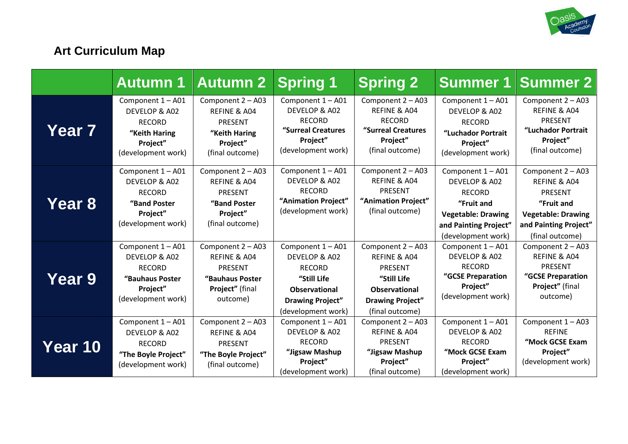

# **Art Curriculum Map**

|         | <b>Autumn 1</b>                                                                                          | <b>Autumn 2</b>                                                                                       | <b>Spring 1</b>                                                                                                                             | <b>Spring 2</b>                                                                                                                          | <b>Summer 1</b>                                                                                                                               | <b>Summer 2</b>                                                                                                                            |
|---------|----------------------------------------------------------------------------------------------------------|-------------------------------------------------------------------------------------------------------|---------------------------------------------------------------------------------------------------------------------------------------------|------------------------------------------------------------------------------------------------------------------------------------------|-----------------------------------------------------------------------------------------------------------------------------------------------|--------------------------------------------------------------------------------------------------------------------------------------------|
| Year 7  | Component 1 - A01<br>DEVELOP & A02<br><b>RECORD</b><br>"Keith Haring<br>Project"<br>(development work)   | Component 2 - A03<br>REFINE & A04<br><b>PRESENT</b><br>"Keith Haring<br>Project"<br>(final outcome)   | Component 1 - A01<br>DEVELOP & A02<br><b>RECORD</b><br>"Surreal Creatures<br>Project"<br>(development work)                                 | Component 2 - A03<br>REFINE & A04<br><b>RECORD</b><br>"Surreal Creatures<br>Project"<br>(final outcome)                                  | Component 1 - A01<br>DEVELOP & A02<br><b>RECORD</b><br>"Luchador Portrait<br>Project"<br>(development work)                                   | Component 2 - A03<br>REFINE & A04<br><b>PRESENT</b><br>"Luchador Portrait<br>Project"<br>(final outcome)                                   |
| Year 8  | Component 1 - A01<br>DEVELOP & A02<br><b>RECORD</b><br>"Band Poster<br>Project"<br>(development work)    | Component 2 - A03<br>REFINE & A04<br><b>PRESENT</b><br>"Band Poster<br>Project"<br>(final outcome)    | Component 1 - A01<br>DEVELOP & A02<br><b>RECORD</b><br>"Animation Project"<br>(development work)                                            | Component 2 - A03<br>REFINE & A04<br><b>PRESENT</b><br>"Animation Project"<br>(final outcome)                                            | Component 1 - A01<br>DEVELOP & A02<br><b>RECORD</b><br>"Fruit and<br><b>Vegetable: Drawing</b><br>and Painting Project"<br>(development work) | Component 2 - A03<br>REFINE & A04<br><b>PRESENT</b><br>"Fruit and<br><b>Vegetable: Drawing</b><br>and Painting Project"<br>(final outcome) |
| Year 9  | Component 1 - A01<br>DEVELOP & A02<br><b>RECORD</b><br>"Bauhaus Poster<br>Project"<br>(development work) | Component 2 - A03<br>REFINE & A04<br><b>PRESENT</b><br>"Bauhaus Poster<br>Project" (final<br>outcome) | Component 1 - A01<br>DEVELOP & A02<br><b>RECORD</b><br>"Still Life<br><b>Observational</b><br><b>Drawing Project"</b><br>(development work) | Component 2 - A03<br>REFINE & A04<br><b>PRESENT</b><br>"Still Life<br><b>Observational</b><br><b>Drawing Project"</b><br>(final outcome) | Component 1 - A01<br>DEVELOP & A02<br><b>RECORD</b><br>"GCSE Preparation<br>Project"<br>(development work)                                    | Component 2 - A03<br>REFINE & A04<br><b>PRESENT</b><br>"GCSE Preparation<br>Project" (final<br>outcome)                                    |
| Year 10 | Component 1 - A01<br>DEVELOP & A02<br><b>RECORD</b><br>"The Boyle Project"<br>(development work)         | Component 2 - A03<br>REFINE & A04<br><b>PRESENT</b><br>"The Boyle Project"<br>(final outcome)         | Component 1 - A01<br>DEVELOP & A02<br><b>RECORD</b><br>"Jigsaw Mashup<br>Project"<br>(development work)                                     | Component 2 - A03<br>REFINE & A04<br><b>PRESENT</b><br>"Jigsaw Mashup<br>Project"<br>(final outcome)                                     | Component 1 - A01<br>DEVELOP & A02<br><b>RECORD</b><br>"Mock GCSE Exam<br>Project"<br>(development work)                                      | Component 1 - A03<br><b>REFINE</b><br>"Mock GCSE Exam<br>Project"<br>(development work)                                                    |